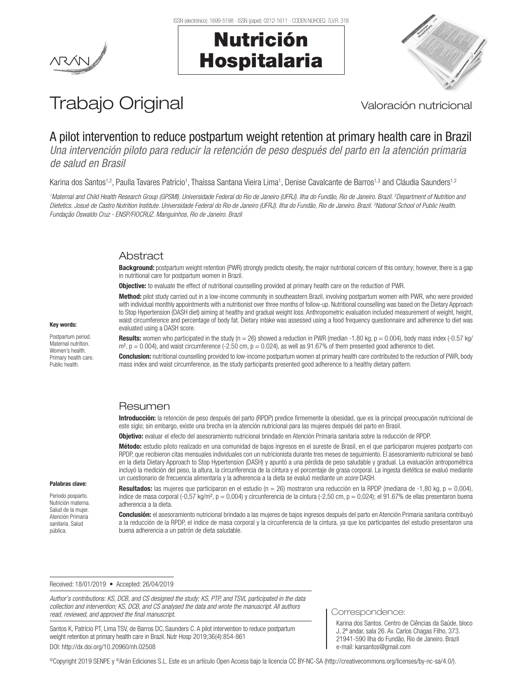



# Trabajo Original Valoración nutricional

## A pilot intervention to reduce postpartum weight retention at primary health care in Brazil

*Una intervención piloto para reducir la retención de peso después del parto en la atención primaria de salud en Brasil*

Karina dos Santos<sup>1,2</sup>, Paulla Tavares Patrício<sup>1</sup>, Thaíssa Santana Vieira Lima<sup>1</sup>, Denise Cavalcante de Barros<sup>1,3</sup> and Cláudia Saunders<sup>1,2</sup>

*1 Maternal and Child Health Research Group (GPSMI). Universidade Federal do Rio de Janeiro (UFRJ). Ilha do Fundão, Rio de Janeiro. Brazil. 2 Department of Nutrition and Dietetics. Josué de Castro Nutrition Institute. Universidade Federal do Rio de Janeiro (UFRJ). Ilha do Fundão, Rio de Janeiro. Brazil. 3 National School of Public Health. Fundação Oswaldo Cruz - ENSP/FIOCRUZ. Manguinhos, Rio de Janeiro. Brazil*

## Abstract

Background: postpartum weight retention (PWR) strongly predicts obesity, the major nutritional concern of this century; however, there is a gap in nutritional care for postpartum women in Brazil.

**Objective:** to evaluate the effect of nutritional counselling provided at primary health care on the reduction of PWR.

Method: pilot study carried out in a low-income community in southeastern Brazil, involving postpartum women with PWR, who were provided with individual monthly appointments with a nutritionist over three months of follow-up. Nutritional counselling was based on the Dietary Approach to Stop Hypertension (DASH diet) aiming at healthy and gradual weight loss. Anthropometric evaluation included measurement of weight, height, waist circumference and percentage of body fat. Dietary intake was assessed using a food frequency questionnaire and adherence to diet was evaluated using a DASH score.

**Results:** women who participated in the study (n = 26) showed a reduction in PWR (median -1.80 kg,  $p = 0.004$ ), body mass index  $(-0.57 \text{ kg})$  $m^2$ ,  $p = 0.004$ ), and waist circumference (-2.50 cm,  $p = 0.024$ ), as well as 91.67% of them presented good adherence to diet.

**Conclusion:** nutritional counselling provided to low-income postpartum women at primary health care contributed to the reduction of PWR, body mass index and waist circumference, as the study participants presented good adherence to a healthy dietary pattern.

## **Resumen**

Introducción: la retención de peso después del parto (RPDP) predice firmemente la obesidad, que es la principal preocupación nutricional de este siglo; sin embargo, existe una brecha en la atención nutricional para las mujeres después del parto en Brasil.

Objetivo: evaluar el efecto del asesoramiento nutricional brindado en Atención Primaria sanitaria sobre la reducción de RPDP.

Método: estudio piloto realizado en una comunidad de bajos ingresos en el sureste de Brasil, en el que participaron mujeres postparto con RPDP, que recibieron citas mensuales individuales con un nutricionista durante tres meses de seguimiento. El asesoramiento nutricional se basó en la dieta Dietary Approach to Stop Hypertension (DASH) y apuntó a una pérdida de peso saludable y gradual. La evaluación antropométrica incluyó la medición del peso, la altura, la circunferencia de la cintura y el porcentaje de grasa corporal. La ingesta dietética se evaluó mediante un cuestionario de frecuencia alimentaria y la adherencia a la dieta se evaluó mediante un *score* DASH.

#### Palabras clave:

Key words: Postpartum period. Maternal nutrition. Women's health. Primary health care. Public health.

Periodo posparto. Nutrición materna. Salud de la mujer. Atención Primaria sanitaria. Salud pública.

Resultados: las mujeres que participaron en el estudio (n = 26) mostraron una reducción en la RPDP (mediana de -1,80 kg, p = 0,004), índice de masa corporal  $(-0.57 \text{ kg/m}^2, p = 0.004)$  y circunferencia de la cintura  $(-2.50 \text{ cm}, p = 0.024)$ ; el 91.67% de ellas presentaron buena adherencia a la dieta.

Conclusión: el asesoramiento nutricional brindado a las mujeres de bajos ingresos después del parto en Atención Primaria sanitaria contribuyó a la reducción de la RPDP, el índice de masa corporal y la circunferencia de la cintura, ya que los participantes del estudio presentaron una buena adherencia a un patrón de dieta saludable.

#### Received: 18/01/2019 • Accepted: 26/04/2019

*Author's contributions: KS, DCB, and CS designed the study; KS, PTP, and TSVL participated in the data collection and intervention; KS, DCB, and CS analysed the data and wrote the manuscript. All authors read, reviewed, and approved the final manuscript.*

Santos K, Patrício PT, Lima TSV, de Barros DC, Saunders C. A pilot intervention to reduce postpartum weight retention at primary health care in Brazil. Nutr Hosp 2019;36(4):854-861 DOI: http://dx.doi.org/10.20960/nh.02508

#### Correspondence:

Karina dos Santos. Centro de Ciências da Saúde, bloco J, 2º andar, sala 26. Av. Carlos Chagas Filho, 373. 21941-590 Ilha do Fundão, Rio de Janeiro. Brazil e-mail: karsantos@gmail.com

©Copyright 2019 SENPE y ©Arán Ediciones S.L. Este es un artículo Open Access bajo la licencia CC BY-NC-SA (http://creativecommons.org/licenses/by-nc-sa/4.0/).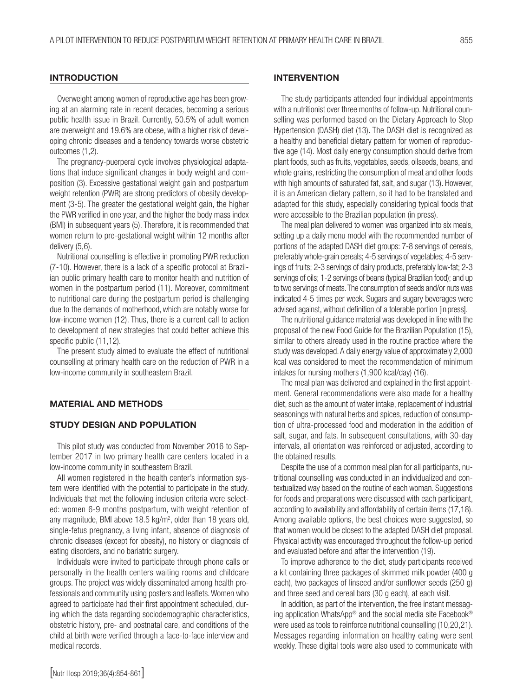#### **INTRODUCTION**

Overweight among women of reproductive age has been growing at an alarming rate in recent decades, becoming a serious public health issue in Brazil. Currently, 50.5% of adult women are overweight and 19.6% are obese, with a higher risk of developing chronic diseases and a tendency towards worse obstetric outcomes (1,2).

The pregnancy-puerperal cycle involves physiological adaptations that induce significant changes in body weight and composition (3). Excessive gestational weight gain and postpartum weight retention (PWR) are strong predictors of obesity development (3-5). The greater the gestational weight gain, the higher the PWR verified in one year, and the higher the body mass index (BMI) in subsequent years (5). Therefore, it is recommended that women return to pre-gestational weight within 12 months after delivery (5,6).

Nutritional counselling is effective in promoting PWR reduction (7-10). However, there is a lack of a specific protocol at Brazilian public primary health care to monitor health and nutrition of women in the postpartum period (11). Moreover, commitment to nutritional care during the postpartum period is challenging due to the demands of motherhood,which are notably worse for low-income women (12). Thus, there is a current call to action to development of new strategies that could better achieve this specific public (11,12).

The present study aimed to evaluate the effect of nutritional counselling at primary health care on the reduction of PWR in a low-income community in southeastern Brazil.

#### MATERIAL AND METHODS

#### STUDY DESIGN AND POPULATION

This pilot study was conducted from November 2016 to September 2017 in two primary health care centers located in a low-income community in southeastern Brazil.

All women registered in the health center's information system were identified with the potential to participate in the study. Individuals that met the following inclusion criteria were selected: women 6-9 months postpartum, with weight retention of any magnitude, BMI above 18.5 kg/m2 , older than 18 years old, single-fetus pregnancy, a living infant, absence of diagnosis of chronic diseases (except for obesity), no history or diagnosis of eating disorders, and no bariatric surgery.

Individuals were invited to participate through phone calls or personally in the health centers waiting rooms and childcare groups. The project was widely disseminated among health professionals and community using posters and leaflets. Women who agreed to participate had their first appointment scheduled, during which the data regarding sociodemographic characteristics, obstetric history, pre- and postnatal care, and conditions of the child at birth were verified through a face-to-face interview and medical records.

#### INTERVENTION

The study participants attended four individual appointments with a nutritionist over three months of follow-up. Nutritional counselling was performed based on the Dietary Approach to Stop Hypertension (DASH) diet (13). The DASH diet is recognized as a healthy and beneficial dietary pattern for women of reproductive age (14). Most daily energy consumption should derive from plant foods, such as fruits, vegetables, seeds, oilseeds, beans, and whole grains, restricting the consumption of meat and other foods with high amounts of saturated fat, salt, and sugar (13). However, it is an American dietary pattern, so it had to be translated and adapted for this study, especially considering typical foods that were accessible to the Brazilian population (in press).

The meal plan delivered to women was organized into six meals, setting up a daily menu model with the recommended number of portions of the adapted DASH diet groups: 7-8 servings of cereals, preferably whole-grain cereals; 4-5 servings of vegetables; 4-5 servings of fruits; 2-3 servings of dairy products, preferably low-fat; 2-3 servings of oils; 1-2 servings of beans (typical Brazilian food); and up to two servings of meats. The consumption of seeds and/or nuts was indicated 4-5 times per week. Sugars and sugary beverages were advised against, without definition of a tolerable portion [in press].

The nutritional guidance material was developed in line with the proposal of the new Food Guide for the Brazilian Population (15), similar to others already used in the routine practice where the study was developed. A daily energy value of approximately 2,000 kcal was considered to meet the recommendation of minimum intakes for nursing mothers (1,900 kcal/day) (16).

The meal plan was delivered and explained in the first appointment. General recommendations were also made for a healthy diet, such as the amount of water intake, replacement of industrial seasonings with natural herbs and spices, reduction of consumption of ultra-processed food and moderation in the addition of salt, sugar, and fats. In subsequent consultations, with 30-day intervals, all orientation was reinforced or adjusted, according to the obtained results.

Despite the use of a common meal plan for all participants, nutritional counselling was conducted in an individualized and contextualized way based on the routine of each woman. Suggestions for foods and preparations were discussed with each participant, according to availability and affordability of certain items (17,18). Among available options, the best choices were suggested, so that women would be closest to the adapted DASH diet proposal. Physical activity was encouraged throughout the follow-up period and evaluated before and after the intervention (19).

To improve adherence to the diet, study participants received a kit containing three packages of skimmed milk powder (400 g each), two packages of linseed and/or sunflower seeds (250 g) and three seed and cereal bars (30 g each), at each visit.

In addition, as part of the intervention, the free instant messaging application WhatsApp® and the social media site Facebook® were used as tools to reinforce nutritional counselling (10,20,21). Messages regarding information on healthy eating were sent weekly. These digital tools were also used to communicate with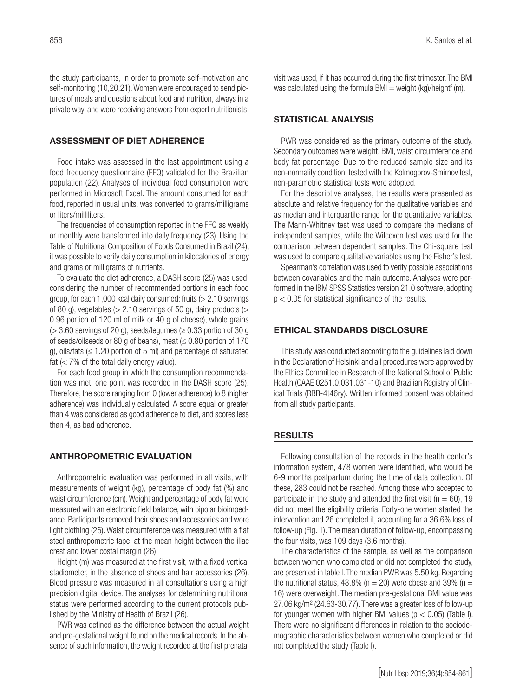the study participants, in order to promote self-motivation and self-monitoring (10,20,21). Women were encouraged to send pictures of meals and questions about food and nutrition, always in a private way, and were receiving answers from expert nutritionists.

#### ASSESSMENT OF DIET ADHERENCE

Food intake was assessed in the last appointment using a food frequency questionnaire (FFQ) validated for the Brazilian population (22). Analyses of individual food consumption were performed in Microsoft Excel. The amount consumed for each food, reported in usual units, was converted to grams/milligrams or liters/milliliters.

The frequencies of consumption reported in the FFQ as weekly or monthly were transformed into daily frequency (23). Using the Table of Nutritional Composition of Foods Consumed in Brazil (24), it was possible to verify daily consumption in kilocalories of energy and grams or milligrams of nutrients.

To evaluate the diet adherence, a DASH score (25) was used, considering the number of recommended portions in each food group, for each 1,000 kcal daily consumed: fruits (> 2.10 servings of 80 g), vegetables ( $> 2.10$  servings of 50 g), dairy products ( $>$ 0.96 portion of 120 ml of milk or 40 g of cheese), whole grains  $(> 3.60$  servings of 20 g), seeds/legumes ( $\geq 0.33$  portion of 30 g of seeds/oilseeds or 80 g of beans), meat  $\leq 0.80$  portion of 170 q), oils/fats ( $\leq$  1.20 portion of 5 ml) and percentage of saturated fat  $(< 7\%$  of the total daily energy value).

For each food group in which the consumption recommendation was met, one point was recorded in the DASH score (25). Therefore, the score ranging from 0 (lower adherence) to 8 (higher adherence) was individually calculated. A score equal or greater than 4 was considered as good adherence to diet, and scores less than 4, as bad adherence.

#### ANTHROPOMETRIC EVALUATION

Anthropometric evaluation was performed in all visits, with measurements of weight (kg), percentage of body fat (%) and waist circumference (cm). Weight and percentage of body fat were measured with an electronic field balance, with bipolar bioimpedance. Participants removed their shoes and accessories and wore light clothing (26). Waist circumference was measured with a flat steel anthropometric tape, at the mean height between the iliac crest and lower costal margin (26).

Height (m) was measured at the first visit, with a fixed vertical stadiometer, in the absence of shoes and hair accessories (26). Blood pressure was measured in all consultations using a high precision digital device. The analyses for determining nutritional status were performed according to the current protocols published by the Ministry of Health of Brazil (26).

PWR was defined as the difference between the actual weight and pre-gestational weight found on the medical records. In the absence of such information, the weight recorded at the first prenatal

visit was used, if it has occurred during the first trimester. The BMI was calculated using the formula BMI = weight  $(kq)/\text{height}^2(m)$ .

#### STATISTICAL ANALYSIS

PWR was considered as the primary outcome of the study. Secondary outcomes were weight, BMI, waist circumference and body fat percentage. Due to the reduced sample size and its non-normality condition, tested with the Kolmogorov-Smirnov test, non-parametric statistical tests were adopted.

For the descriptive analyses, the results were presented as absolute and relative frequency for the qualitative variables and as median and interquartile range for the quantitative variables. The Mann-Whitney test was used to compare the medians of independent samples, while the Wilcoxon test was used for the comparison between dependent samples. The Chi-square test was used to compare qualitative variables using the Fisher's test.

Spearman's correlation was used to verify possible associations between covariables and the main outcome. Analyses were performed in the IBM SPSS Statistics version 21.0 software, adopting p < 0.05 for statistical significance of the results.

## ETHICAL STANDARDS DISCLOSURE

This study was conducted according to the guidelines laid down in the Declaration of Helsinki and all procedures were approved by the Ethics Committee in Research of the National School of Public Health (CAAE 0251.0.031.031-10) and Brazilian Registry of Clinical Trials (RBR-4t46ry). Written informed consent was obtained from all study participants.

#### **RESULTS**

Following consultation of the records in the health center's information system, 478 women were identified, who would be 6-9 months postpartum during the time of data collection. Of these, 283 could not be reached. Among those who accepted to participate in the study and attended the first visit ( $n = 60$ ), 19 did not meet the eligibility criteria. Forty-one women started the intervention and 26 completed it, accounting for a 36.6% loss of follow-up (Fig. 1). The mean duration of follow-up, encompassing the four visits, was 109 days (3.6 months).

The characteristics of the sample, as well as the comparison between women who completed or did not completed the study, are presented in table I. The median PWR was 5.50 kg. Regarding the nutritional status, 48.8% ( $n = 20$ ) were obese and 39% ( $n =$ 16) were overweight. The median pre-gestational BMI value was 27.06 kg/m² (24.63-30.77). There was a greater loss of follow-up for younger women with higher BMI values ( $p < 0.05$ ) (Table I). There were no significant differences in relation to the sociodemographic characteristics between women who completed or did not completed the study (Table I).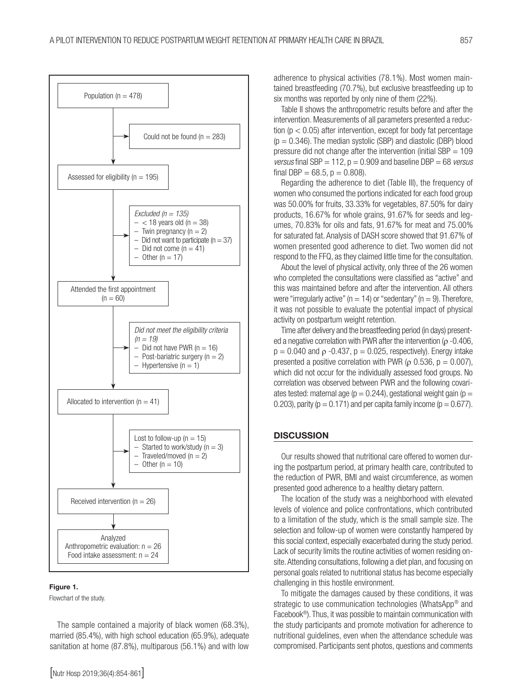

#### Figure 1.

Flowchart of the study.

The sample contained a majority of black women (68.3%), married (85.4%), with high school education (65.9%), adequate sanitation at home (87.8%), multiparous (56.1%) and with low adherence to physical activities (78.1%). Most women maintained breastfeeding (70.7%), but exclusive breastfeeding up to six months was reported by only nine of them (22%).

Table II shows the anthropometric results before and after the intervention. Measurements of all parameters presented a reduction ( $p < 0.05$ ) after intervention, except for body fat percentage  $(p = 0.346)$ . The median systolic (SBP) and diastolic (DBP) blood pressure did not change after the intervention (initial  $SBP = 109$ *versus* final SBP = 112, p = 0.909 and baseline DBP = 68 *versus* final DBP =  $68.5$ ,  $p = 0.808$ ).

Regarding the adherence to diet (Table III), the frequency of women who consumed the portions indicated for each food group was 50.00% for fruits, 33.33% for vegetables, 87.50% for dairy products, 16.67% for whole grains, 91.67% for seeds and legumes, 70.83% for oils and fats, 91.67% for meat and 75.00% for saturated fat. Analysis of DASH score showed that 91.67% of women presented good adherence to diet. Two women did not respond to the FFQ, as they claimed little time for the consultation.

About the level of physical activity, only three of the 26 women who completed the consultations were classified as "active" and this was maintained before and after the intervention. All others were "irregularly active" ( $n = 14$ ) or "sedentary" ( $n = 9$ ). Therefore, it was not possible to evaluate the potential impact of physical activity on postpartum weight retention.

Time after delivery and the breastfeeding period (in days) presented a negative correlation with PWR after the intervention ( $\rho$  -0.406,  $p = 0.040$  and  $\rho -0.437$ ,  $p = 0.025$ , respectively). Energy intake presented a positive correlation with PWR ( $\rho$  0.536,  $p = 0.007$ ), which did not occur for the individually assessed food groups. No correlation was observed between PWR and the following covariates tested: maternal age ( $p = 0.244$ ), gestational weight gain ( $p =$ 0.203), parity ( $p = 0.171$ ) and per capita family income ( $p = 0.677$ ).

#### **DISCUSSION**

Our results showed that nutritional care offered to women during the postpartum period, at primary health care, contributed to the reduction of PWR, BMI and waist circumference, as women presented good adherence to a healthy dietary pattern.

The location of the study was a neighborhood with elevated levels of violence and police confrontations, which contributed to a limitation of the study, which is the small sample size. The selection and follow-up of women were constantly hampered by this social context, especially exacerbated during the study period. Lack of security limits the routine activities of women residing onsite. Attending consultations, following a diet plan, and focusing on personal goals related to nutritional status has become especially challenging in this hostile environment.

To mitigate the damages caused by these conditions, it was strategic to use communication technologies (WhatsApp® and Facebook®). Thus, it was possible to maintain communication with the study participants and promote motivation for adherence to nutritional guidelines, even when the attendance schedule was compromised. Participants sent photos, questions and comments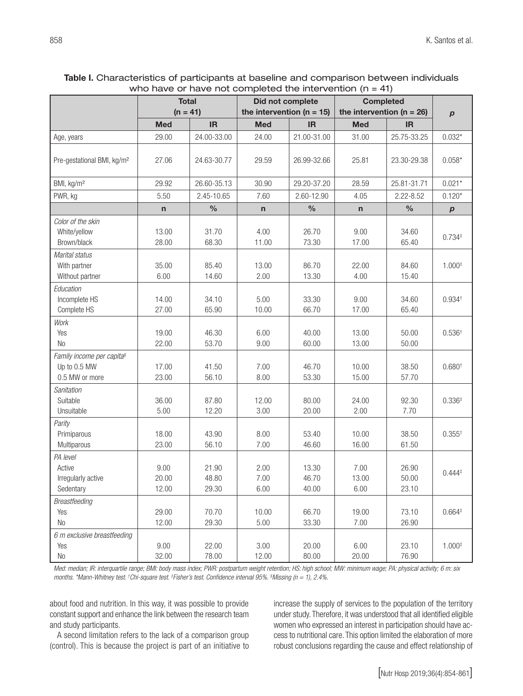| Table I. Characteristics of participants at baseline and comparison between individuals |
|-----------------------------------------------------------------------------------------|
| who have or have not completed the intervention $(n = 41)$                              |

|                                                                         | $\frac{1}{100}$ Have the completed the intervention (i) = $\frac{1}{100}$<br><b>Total</b><br>$(n = 41)$ |                         | Did not complete<br>the intervention ( $n = 15$ ) |                         | <b>Completed</b>              |                         |                   |
|-------------------------------------------------------------------------|---------------------------------------------------------------------------------------------------------|-------------------------|---------------------------------------------------|-------------------------|-------------------------------|-------------------------|-------------------|
|                                                                         |                                                                                                         |                         |                                                   |                         | the intervention ( $n = 26$ ) |                         |                   |
|                                                                         | <b>Med</b>                                                                                              | IR                      | <b>Med</b>                                        | IR                      | <b>Med</b>                    | <b>IR</b>               | $\boldsymbol{p}$  |
| Age, years                                                              | 29.00                                                                                                   | 24.00-33.00             | 24.00                                             | 21.00-31.00             | 31.00                         | 25.75-33.25             | $0.032*$          |
|                                                                         |                                                                                                         |                         |                                                   |                         |                               |                         |                   |
| Pre-gestational BMI, kg/m <sup>2</sup>                                  | 27.06                                                                                                   | 24.63-30.77             | 29.59                                             | 26.99-32.66             | 25.81                         | 23.30-29.38             | $0.058*$          |
| BMI, kg/m <sup>2</sup>                                                  | 29.92                                                                                                   | 26.60-35.13             | 30.90                                             | 29.20-37.20             | 28.59                         | 25.81-31.71             | $0.021*$          |
| PWR, kg                                                                 | 5.50                                                                                                    | 2.45-10.65              | 7.60                                              | 2.60-12.90              | 4.05                          | $2.22 - 8.52$           | $0.120*$          |
|                                                                         | $\mathsf{n}$                                                                                            | $\frac{0}{0}$           | $\mathsf{n}$                                      | $\%$                    | $\mathsf{n}$                  | $\frac{0}{0}$           | $\boldsymbol{p}$  |
| Color of the skin<br>White/yellow<br>Brown/black                        | 13.00<br>28.00                                                                                          | 31.70<br>68.30          | 4.00<br>11.00                                     | 26.70<br>73.30          | 9.00<br>17.00                 | 34.60<br>65.40          | $0.734*$          |
| Marital status<br>With partner<br>Without partner                       | 35.00<br>6.00                                                                                           | 85.40<br>14.60          | 13.00<br>2.00                                     | 86.70<br>13.30          | 22.00<br>4.00                 | 84.60<br>15.40          | $1.000*$          |
| Education<br>Incomplete HS<br>Complete HS                               | 14.00<br>27.00                                                                                          | 34.10<br>65.90          | 5.00<br>10.00                                     | 33.30<br>66.70          | 9.00<br>17.00                 | 34.60<br>65.40          | $0.934^{+}$       |
| Work<br>Yes<br><b>No</b>                                                | 19.00<br>22.00                                                                                          | 46.30<br>53.70          | 6.00<br>9.00                                      | 40.00<br>60.00          | 13.00<br>13.00                | 50.00<br>50.00          | $0.536^{+}$       |
| Family income per capita <sup>s</sup><br>Up to 0.5 MW<br>0.5 MW or more | 17.00<br>23.00                                                                                          | 41.50<br>56.10          | 7.00<br>8.00                                      | 46.70<br>53.30          | 10.00<br>15.00                | 38.50<br>57.70          | $0.680^{+}$       |
| Sanitation<br>Suitable<br>Unsuitable                                    | 36.00<br>5.00                                                                                           | 87.80<br>12.20          | 12.00<br>3.00                                     | 80.00<br>20.00          | 24.00<br>2.00                 | 92.30<br>7.70           | $0.336*$          |
| Parity<br>Primiparous<br>Multiparous                                    | 18.00<br>23.00                                                                                          | 43.90<br>56.10          | 8.00<br>7.00                                      | 53.40<br>46.60          | 10.00<br>16.00                | 38.50<br>61.50          | $0.355^{\dagger}$ |
| PA level<br>Active<br>Irregularly active<br>Sedentary                   | 9.00<br>20.00<br>12.00                                                                                  | 21.90<br>48.80<br>29.30 | 2.00<br>7.00<br>6.00                              | 13.30<br>46.70<br>40.00 | 7.00<br>13.00<br>6.00         | 26.90<br>50.00<br>23.10 | $0.444*$          |
| <b>Breastfeeding</b><br>Yes<br>N <sub>0</sub>                           | 29.00<br>12.00                                                                                          | 70.70<br>29.30          | 10.00<br>5.00                                     | 66.70<br>33.30          | 19.00<br>7.00                 | 73.10<br>26.90          | $0.664*$          |
| 6 m exclusive breastfeeding<br>Yes<br>$\rm No$                          | 9.00<br>32.00                                                                                           | 22.00<br>78.00          | 3.00<br>12.00                                     | 20.00<br>80.00          | 6.00<br>20.00                 | 23.10<br>76.90          | $1.000*$          |

*Med: median; IR: interquartile range; BMI: body mass index; PWR: postpartum weight retention; HS: high school; MW: minimum wage; PA: physical activity; 6 m: six months. \*Mann-Whitney test. † Chi-square test. ‡ Fisher's test. Confidence interval 95%. § Missing (n = 1), 2.4%.*

about food and nutrition. In this way, it was possible to provide constant support and enhance the link between the research team and study participants.

A second limitation refers to the lack of a comparison group (control). This is because the project is part of an initiative to increase the supply of services to the population of the territory under study. Therefore, it was understood that all identified eligible women who expressed an interest in participation should have access to nutritional care. This option limited the elaboration of more robust conclusions regarding the cause and effect relationship of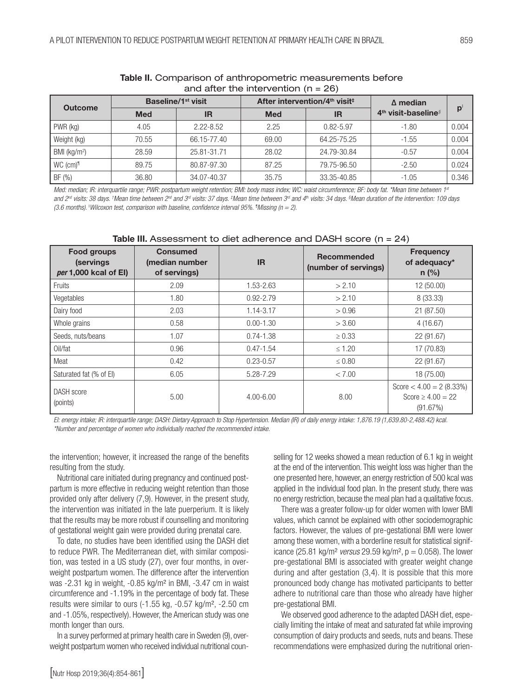| $\alpha$ is $\alpha$ its the filter vertice in $\alpha$ is $\alpha$ |                                |               |                                                       |               |                                   |       |  |
|---------------------------------------------------------------------|--------------------------------|---------------|-------------------------------------------------------|---------------|-----------------------------------|-------|--|
| <b>Outcome</b>                                                      | Baseline/1 <sup>st</sup> visit |               | After intervention/4 <sup>th</sup> visit <sup>‡</sup> |               | $\Delta$ median                   |       |  |
|                                                                     | <b>Med</b>                     | IR            | <b>Med</b>                                            | <b>IR</b>     | $4th$ visit-baseline <sup>§</sup> | p     |  |
| PWR (kg)                                                            | 4.05                           | $2.22 - 8.52$ | 2.25                                                  | $0.82 - 5.97$ | $-1.80$                           | 0.004 |  |
| Weight (kg)                                                         | 70.55                          | 66.15-77.40   | 69.00                                                 | 64.25-75.25   | $-1.55$                           | 0.004 |  |
| BMI ( $kg/m2$ )                                                     | 28.59                          | 25.81-31.71   | 28.02                                                 | 24.79-30.84   | $-0.57$                           | 0.004 |  |
| WC (cm) <sup>1</sup>                                                | 89.75                          | 80.87-97.30   | 87.25                                                 | 79.75-96.50   | $-2.50$                           | 0.024 |  |
| BF (%)                                                              | 36.80                          | 34.07-40.37   | 35.75                                                 | 33.35-40.85   | $-1.05$                           | 0.346 |  |

#### Table II. Comparison of anthropometric measurements before and after the intervention  $(n = 26)$

*Med: median; IR: interquartile range; PWR: postpartum weight retention; BMI: body mass index; WC: waist circumference; BF: body fat. \*Mean time between 1st* and 2<sup>nd</sup> visits: 38 days. †Mean time between 2<sup>nd</sup> and 3<sup>rd</sup> visits: 37 days. ‡Mean time between 3<sup>rd</sup> and 4th visits: 34 days. §Mean duration of the intervention: 109 days *(3.6 months).* <sup>ǁ</sup> *Wilcoxon test, comparison with baseline, confidence interval 95%. ¶ Missing (n = 2).*

| <b>Food groups</b><br>(servings)<br>per 1,000 kcal of El) | <b>Consumed</b><br>(median number<br>of servings) | <b>IR</b>     | <b>Recommended</b><br>(number of servings) | <b>Frequency</b><br>of adequacy*<br>$n$ (%)                      |
|-----------------------------------------------------------|---------------------------------------------------|---------------|--------------------------------------------|------------------------------------------------------------------|
| Fruits                                                    | 2.09                                              | 1.53-2.63     | > 2.10                                     | 12 (50.00)                                                       |
| Vegetables                                                | 1.80                                              | $0.92 - 2.79$ | > 2.10                                     | 8 (33.33)                                                        |
| Dairy food                                                | 2.03                                              | 1.14-3.17     | > 0.96                                     | 21 (87.50)                                                       |
| Whole grains                                              | 0.58                                              | $0.00 - 1.30$ | > 3.60                                     | 4(16.67)                                                         |
| Seeds, nuts/beans                                         | 1.07                                              | $0.74 - 1.38$ | $\geq 0.33$                                | 22 (91.67)                                                       |
| Oil/fat                                                   | 0.96                                              | $0.47 - 1.54$ | $\leq 1.20$                                | 17 (70.83)                                                       |
| Meat                                                      | 0.42                                              | $0.23 - 0.57$ | $\leq 0.80$                                | 22 (91.67)                                                       |
| Saturated fat (% of EI)                                   | 6.05                                              | 5.28-7.29     | < 7.00                                     | 18 (75.00)                                                       |
| DASH score<br>(points)                                    | 5.00                                              | $4.00 - 6.00$ | 8.00                                       | Score $<$ 4.00 = 2 (8.33%)<br>Score $\geq 4.00 = 22$<br>(91.67%) |

#### Table III. Assessment to diet adherence and DASH score (n = 24)

*EI: energy intake; IR: interquartile range; DASH: Dietary Approach to Stop Hypertension. Median (IR) of daily energy intake: 1,876.19 (1,639.80-2,488.42) kcal. \*Number and percentage of women who individually reached the recommended intake.*

the intervention; however, it increased the range of the benefits resulting from the study.

Nutritional care initiated during pregnancy and continued postpartum is more effective in reducing weight retention than those provided only after delivery (7,9). However, in the present study, the intervention was initiated in the late puerperium. It is likely that the results may be more robust if counselling and monitoring of gestational weight gain were provided during prenatal care.

To date, no studies have been identified using the DASH diet to reduce PWR. The Mediterranean diet, with similar composition, was tested in a US study (27), over four months, in overweight postpartum women. The difference after the intervention was -2.31 kg in weight, -0.85 kg/m² in BMI, -3.47 cm in waist circumference and -1.19% in the percentage of body fat. These results were similar to ours (-1.55 kg, -0.57 kg/m², -2.50 cm and -1.05%, respectively). However, the American study was one month longer than ours.

In a survey performed at primary health care in Sweden (9), overweight postpartum women who received individual nutritional counselling for 12 weeks showed a mean reduction of 6.1 kg in weight at the end of the intervention. This weight loss was higher than the one presented here, however, an energy restriction of 500 kcal was applied in the individual food plan. In the present study, there was no energy restriction, because the meal plan had a qualitative focus.

There was a greater follow-up for older women with lower BMI values, which cannot be explained with other sociodemographic factors. However, the values of pre-gestational BMI were lower among these women, with a borderline result for statistical significance (25.81 kg/m² *versus* 29.59 kg/m², p = 0.058). The lower pre-gestational BMI is associated with greater weight change during and after gestation (3,4). It is possible that this more pronounced body change has motivated participants to better adhere to nutritional care than those who already have higher pre-gestational BMI.

We observed good adherence to the adapted DASH diet, especially limiting the intake of meat and saturated fat while improving consumption of dairy products and seeds, nuts and beans. These recommendations were emphasized during the nutritional orien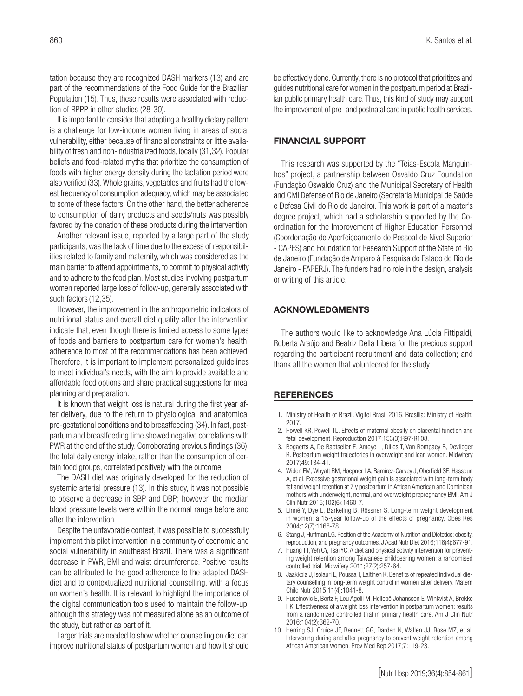tation because they are recognized DASH markers (13) and are part of the recommendations of the Food Guide for the Brazilian Population (15). Thus, these results were associated with reduction of RPPP in other studies (28-30).

It is important to consider that adopting a healthy dietary pattern is a challenge for low-income women living in areas of social vulnerability, either because of financial constraints or little availability of fresh and non-industrialized foods, locally (31,32). Popular beliefs and food-related myths that prioritize the consumption of foods with higher energy density during the lactation period were also verified (33). Whole grains, vegetables and fruits had the lowest frequency of consumption adequacy, which may be associated to some of these factors. On the other hand, the better adherence to consumption of dairy products and seeds/nuts was possibly favored by the donation of these products during the intervention.

Another relevant issue, reported by a large part of the study participants, was the lack of time due to the excess of responsibilities related to family and maternity, which was considered as the main barrier to attend appointments, to commit to physical activity and to adhere to the food plan. Most studies involving postpartum women reported large loss of follow-up, generally associated with such factors(12,35).

However, the improvement in the anthropometric indicators of nutritional status and overall diet quality after the intervention indicate that, even though there is limited access to some types of foods and barriers to postpartum care for women's health, adherence to most of the recommendations has been achieved. Therefore, it is important to implement personalized guidelines to meet individual's needs, with the aim to provide available and affordable food options and share practical suggestions for meal planning and preparation.

It is known that weight loss is natural during the first year after delivery, due to the return to physiological and anatomical pre-gestational conditions and to breastfeeding (34). In fact, postpartum and breastfeeding time showed negative correlations with PWR at the end of the study. Corroborating previous findings (36), the total daily energy intake, rather than the consumption of certain food groups, correlated positively with the outcome.

The DASH diet was originally developed for the reduction of systemic arterial pressure (13). In this study, it was not possible to observe a decrease in SBP and DBP; however, the median blood pressure levels were within the normal range before and after the intervention.

Despite the unfavorable context, it was possible to successfully implement this pilot intervention in a community of economic and social vulnerability in southeast Brazil. There was a significant decrease in PWR, BMI and waist circumference. Positive results can be attributed to the good adherence to the adapted DASH diet and to contextualized nutritional counselling, with a focus on women's health. It is relevant to highlight the importance of the digital communication tools used to maintain the follow-up, although this strategy was not measured alone as an outcome of the study, but rather as part of it.

Larger trials are needed to show whether counselling on diet can improve nutritional status of postpartum women and how it should be effectively done. Currently, there is no protocol that prioritizes and guides nutritional care for women in the postpartum period at Brazilian public primary health care. Thus, this kind of study may support the improvement of pre- and postnatal care in public health services.

#### FINANCIAL SUPPORT

This research was supported by the "Teias-Escola Manguinhos" project, a partnership between Osvaldo Cruz Foundation (Fundação Oswaldo Cruz) and the Municipal Secretary of Health and Civil Defense of Rio de Janeiro (Secretaria Municipal de Saúde e Defesa Civil do Rio de Janeiro). This work is part of a master's degree project, which had a scholarship supported by the Coordination for the Improvement of Higher Education Personnel (Coordenação de Aperfeiçoamento de Pessoal de Nível Superior - CAPES) and Foundation for Research Support of the State of Rio de Janeiro (Fundação de Amparo à Pesquisa do Estado do Rio de Janeiro - FAPERJ). The funders had no role in the design, analysis or writing of this article.

#### ACKNOWLEDGMENTS

The authors would like to acknowledge Ana Lúcia Fittipaldi, Roberta Araújo and Beatriz Della Líbera for the precious support regarding the participant recruitment and data collection; and thank all the women that volunteered for the study.

#### **REFERENCES**

- 1. Ministry of Health of Brazil. Vigitel Brasil 2016. Brasília: Ministry of Health; 2017.
- 2. Howell KR, Powell TL. Effects of maternal obesity on placental function and fetal development. Reproduction 2017;153(3):R97-R108.
- 3. Bogaerts A, De Baetselier E, Ameye L, Dilles T, Van Rompaey B, Devlieger R. Postpartum weight trajectories in overweight and lean women. Midwifery 2017;49:134-41.
- 4. Widen EM, Whyatt RM, Hoepner LA, Ramírez-Carvey J, Oberfield SE, Hassoun A, et al. Excessive gestational weight gain is associated with long-term body fat and weight retention at 7 y postpartum in African American and Dominican mothers with underweight, normal, and overweight prepregnancy BMI. Am J Clin Nutr 2015;102(6):1460-7.
- 5. Linné Y, Dye L, Barkeling B, Rössner S. Long-term weight development in women: a 15-year follow-up of the effects of pregnancy. Obes Res 2004;12(7):1166-78.
- 6. Stang J, Huffman LG. Position of the Academy of Nutrition and Dietetics: obesity, reproduction, and pregnancy outcomes. J Acad Nutr Diet 2016;116(4):677-91.
- 7. Huang TT, Yeh CY, Tsai YC. A diet and physical activity intervention for preventing weight retention among Taiwanese childbearing women: a randomised controlled trial. Midwifery 2011;27(2):257-64.
- 8. Jaakkola J, Isolauri E, Poussa T, Laitinen K. Benefits of repeated individual dietary counselling in long-term weight control in women after delivery. Matern Child Nutr 2015;11(4):1041-8.
- 9. Huseinovic E, Bertz F, Leu Agelii M, Hellebö Johansson E, Winkvist A, Brekke HK. Effectiveness of a weight loss intervention in postpartum women: results from a randomized controlled trial in primary health care. Am J Clin Nutr 2016;104(2):362-70.
- 10. Herring SJ, Cruice JF, Bennett GG, Darden N, Wallen JJ, Rose MZ, et al. Intervening during and after pregnancy to prevent weight retention among African American women. Prev Med Rep 2017;7:119-23.